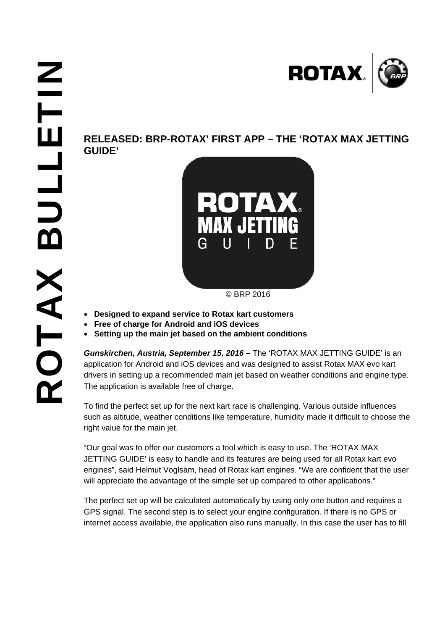**GUIDE'** 



© BRP 2016

- **Designed to expand service to Rotax kart customers**
- **Free of charge for Android and iOS devices**
- **Setting up the main jet based on the ambient conditions**

*Gunskirchen, Austria, September 15, 2016 –* The 'ROTAX MAX JETTING GUIDE' is an application for Android and iOS devices and was designed to assist Rotax MAX evo kart drivers in setting up a recommended main jet based on weather conditions and engine type. The application is available free of charge.

To find the perfect set up for the next kart race is challenging. Various outside influences such as altitude, weather conditions like temperature, humidity made it difficult to choose the right value for the main jet.

"Our goal was to offer our customers a tool which is easy to use. The 'ROTAX MAX JETTING GUIDE' is easy to handle and its features are being used for all Rotax kart evo engines", said Helmut Voglsam, head of Rotax kart engines. "We are confident that the user will appreciate the advantage of the simple set up compared to other applications."

The perfect set up will be calculated automatically by using only one button and requires a GPS signal. The second step is to select your engine configuration. If there is no GPS or internet access available, the application also runs manually. In this case the user has to fill